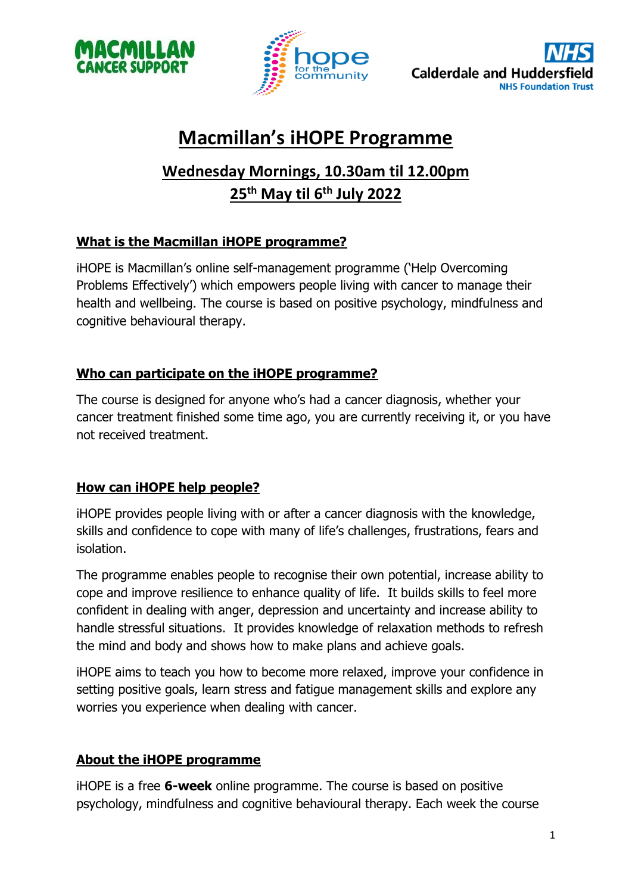



# **Macmillan's iHOPE Programme**

## **Wednesday Mornings, 10.30am til 12.00pm 25th May til 6 th July 2022**

### **What is the Macmillan iHOPE programme?**

iHOPE is Macmillan's online self-management programme ('Help Overcoming Problems Effectively') which empowers people living with cancer to manage their health and wellbeing. The course is based on positive psychology, mindfulness and cognitive behavioural therapy.

#### **Who can participate on the iHOPE programme?**

The course is designed for anyone who's had a cancer diagnosis, whether your cancer treatment finished some time ago, you are currently receiving it, or you have not received treatment.

### **How can iHOPE help people?**

iHOPE provides people living with or after a cancer diagnosis with the knowledge, skills and confidence to cope with many of life's challenges, frustrations, fears and isolation.

The programme enables people to recognise their own potential, increase ability to cope and improve resilience to enhance quality of life. It builds skills to feel more confident in dealing with anger, depression and uncertainty and increase ability to handle stressful situations. It provides knowledge of relaxation methods to refresh the mind and body and shows how to make plans and achieve goals.

iHOPE aims to teach you how to become more relaxed, improve your confidence in setting positive goals, learn stress and fatigue management skills and explore any worries you experience when dealing with cancer.

### **About the iHOPE programme**

iHOPE is a free **6-week** online programme. The course is based on positive psychology, mindfulness and cognitive behavioural therapy. Each week the course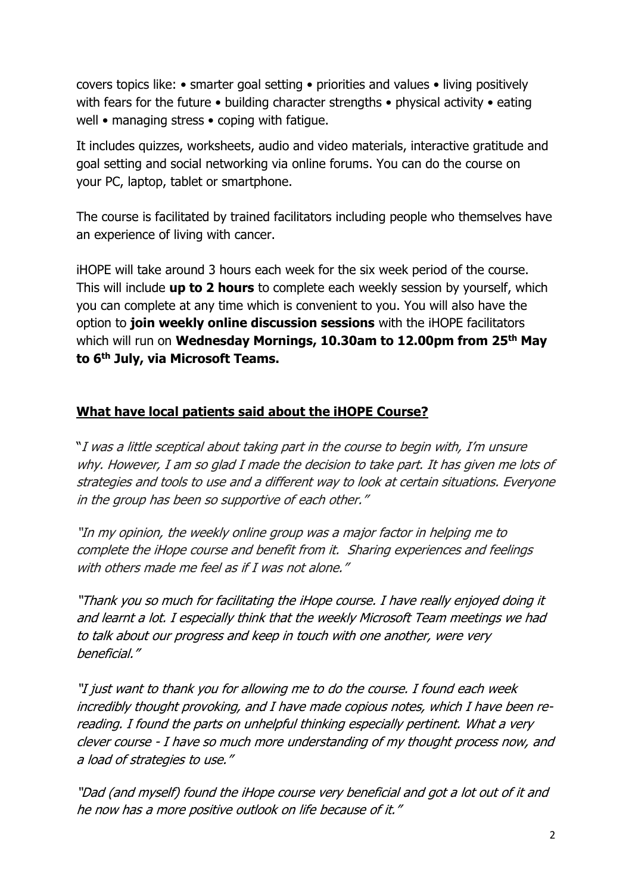covers topics like: • smarter goal setting • priorities and values • living positively with fears for the future • building character strengths • physical activity • eating well • managing stress • coping with fatigue.

It includes quizzes, worksheets, audio and video materials, interactive gratitude and goal setting and social networking via online forums. You can do the course on your PC, laptop, tablet or smartphone.

The course is facilitated by trained facilitators including people who themselves have an experience of living with cancer.

iHOPE will take around 3 hours each week for the six week period of the course. This will include **up to 2 hours** to complete each weekly session by yourself, which you can complete at any time which is convenient to you. You will also have the option to **join weekly online discussion sessions** with the iHOPE facilitators which will run on **Wednesday Mornings, 10.30am to 12.00pm from 25th May to 6th July, via Microsoft Teams.**

#### **What have local patients said about the iHOPE Course?**

"I was a little sceptical about taking part in the course to begin with, I'm unsure why. However, I am so glad I made the decision to take part. It has given me lots of strategies and tools to use and a different way to look at certain situations. Everyone in the group has been so supportive of each other."

"In my opinion, the weekly online group was a major factor in helping me to complete the iHope course and benefit from it. Sharing experiences and feelings with others made me feel as if I was not alone."

"Thank you so much for facilitating the iHope course. I have really enjoyed doing it and learnt a lot. I especially think that the weekly Microsoft Team meetings we had to talk about our progress and keep in touch with one another, were very beneficial."

"I just want to thank you for allowing me to do the course. I found each week incredibly thought provoking, and I have made copious notes, which I have been rereading. I found the parts on unhelpful thinking especially pertinent. What a very clever course - I have so much more understanding of my thought process now, and a load of strategies to use."

"Dad (and myself) found the iHope course very beneficial and got <sup>a</sup> lot out of it and he now has <sup>a</sup> more positive outlook on life because of it."